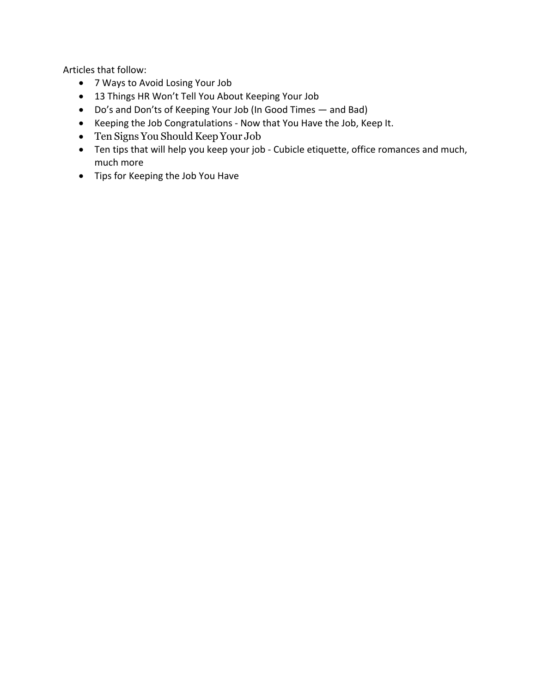Articles that follow:

- 7 Ways to Avoid Losing Your Job
- 13 Things HR Won't Tell You About Keeping Your Job
- Do's and Don'ts of Keeping Your Job (In Good Times and Bad)
- Keeping the Job Congratulations Now that You Have the Job, Keep It.
- Ten Signs You Should Keep Your Job
- Ten tips that will help you keep your job Cubicle etiquette, office romances and much, much more
- Tips for Keeping the Job You Have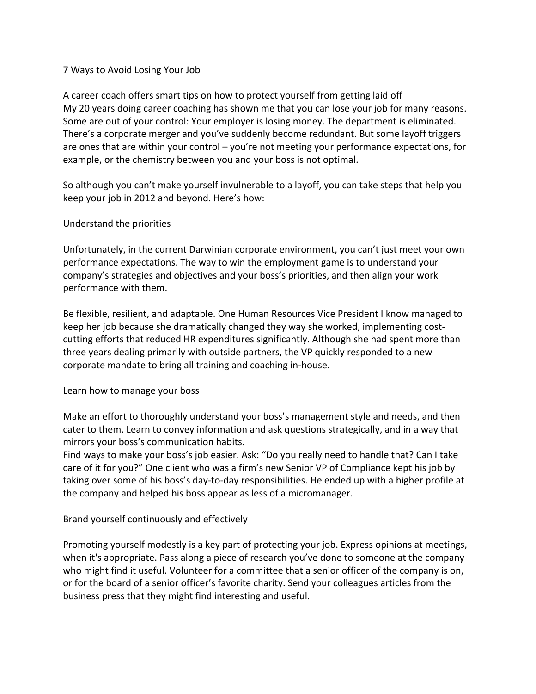### 7 Ways to Avoid Losing Your Job

A career coach offers smart tips on how to protect yourself from getting laid off My 20 years doing career coaching has shown me that you can lose your job for many reasons. Some are out of your control: Your employer is losing money. The department is eliminated. There's a corporate merger and you've suddenly become redundant. But some layoff triggers are ones that are within your control – you're not meeting your performance expectations, for example, or the chemistry between you and your boss is not optimal.

So although you can't make yourself invulnerable to a layoff, you can take steps that help you keep your job in 2012 and beyond. Here's how:

### Understand the priorities

Unfortunately, in the current Darwinian corporate environment, you can't just meet your own performance expectations. The way to win the employment game is to understand your company's strategies and objectives and your boss's priorities, and then align your work performance with them.

Be flexible, resilient, and adaptable. One Human Resources Vice President I know managed to keep her job because she dramatically changed they way she worked, implementing costcutting efforts that reduced HR expenditures significantly. Although she had spent more than three years dealing primarily with outside partners, the VP quickly responded to a new corporate mandate to bring all training and coaching in-house.

### Learn how to manage your boss

Make an effort to thoroughly understand your boss's management style and needs, and then cater to them. Learn to convey information and ask questions strategically, and in a way that mirrors your boss's communication habits.

Find ways to make your boss's job easier. Ask: "Do you really need to handle that? Can I take care of it for you?" One client who was a firm's new Senior VP of Compliance kept his job by taking over some of his boss's day-to-day responsibilities. He ended up with a higher profile at the company and helped his boss appear as less of a micromanager.

## Brand yourself continuously and effectively

Promoting yourself modestly is a key part of protecting your job. Express opinions at meetings, when it's appropriate. Pass along a piece of research you've done to someone at the company who might find it useful. Volunteer for a committee that a senior officer of the company is on, or for the board of a senior officer's favorite charity. Send your colleagues articles from the business press that they might find interesting and useful.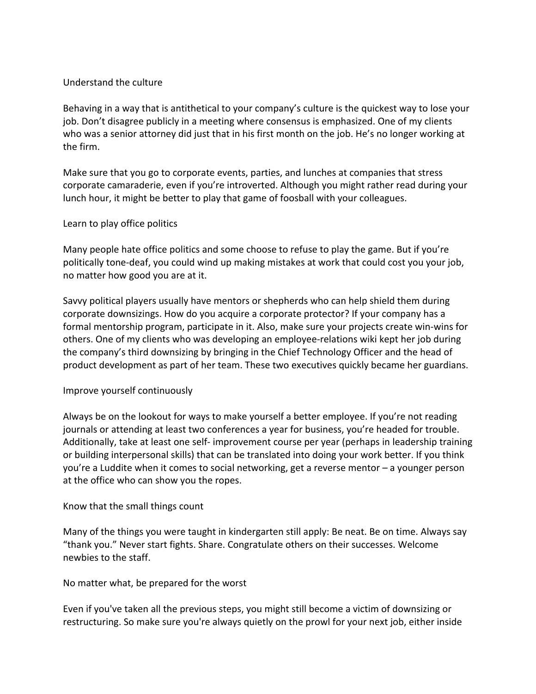### Understand the culture

Behaving in a way that is antithetical to your company's culture is the quickest way to lose your job. Don't disagree publicly in a meeting where consensus is emphasized. One of my clients who was a senior attorney did just that in his first month on the job. He's no longer working at the firm.

Make sure that you go to corporate events, parties, and lunches at companies that stress corporate camaraderie, even if you're introverted. Although you might rather read during your lunch hour, it might be better to play that game of foosball with your colleagues.

### Learn to play office politics

Many people hate office politics and some choose to refuse to play the game. But if you're politically tone-deaf, you could wind up making mistakes at work that could cost you your job, no matter how good you are at it.

Savvy political players usually have mentors or shepherds who can help shield them during corporate downsizings. How do you acquire a corporate protector? If your company has a formal mentorship program, participate in it. Also, make sure your projects create win-wins for others. One of my clients who was developing an employee-relations wiki kept her job during the company's third downsizing by bringing in the Chief Technology Officer and the head of product development as part of her team. These two executives quickly became her guardians.

### Improve yourself continuously

Always be on the lookout for ways to make yourself a better employee. If you're not reading journals or attending at least two conferences a year for business, you're headed for trouble. Additionally, take at least one self- improvement course per year (perhaps in leadership training or building interpersonal skills) that can be translated into doing your work better. If you think you're a Luddite when it comes to social networking, get a reverse mentor  $-$  a younger person at the office who can show you the ropes.

### Know that the small things count

Many of the things you were taught in kindergarten still apply: Be neat. Be on time. Always say "thank you." Never start fights. Share. Congratulate others on their successes. Welcome newbies to the staff.

No matter what, be prepared for the worst

Even if you've taken all the previous steps, you might still become a victim of downsizing or restructuring. So make sure you're always quietly on the prowl for your next job, either inside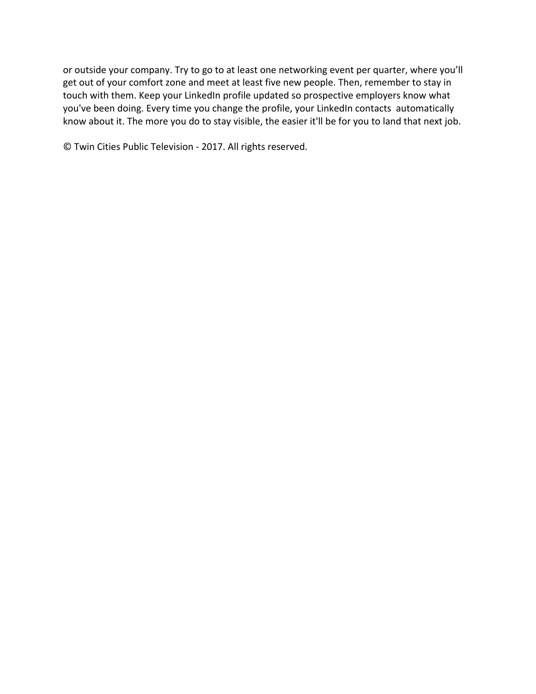or outside your company. Try to go to at least one networking event per quarter, where you'll get out of your comfort zone and meet at least five new people. Then, remember to stay in touch with them. Keep your LinkedIn profile updated so prospective employers know what you've been doing. Every time you change the profile, your LinkedIn contacts automatically know about it. The more you do to stay visible, the easier it'll be for you to land that next job.

© Twin Cities Public Television - 2017. All rights reserved.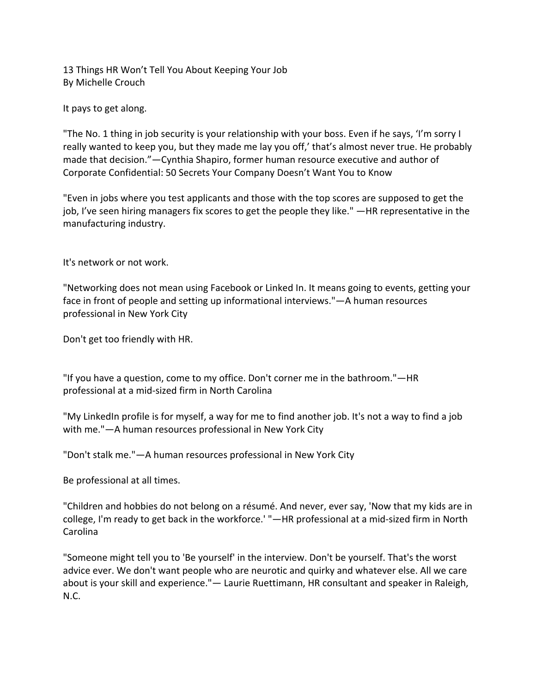13 Things HR Won't Tell You About Keeping Your Job By Michelle Crouch

It pays to get along.

"The No. 1 thing in job security is your relationship with your boss. Even if he says, 'I'm sorry I really wanted to keep you, but they made me lay you off,' that's almost never true. He probably made that decision."—Cynthia Shapiro, former human resource executive and author of Corporate Confidential: 50 Secrets Your Company Doesn't Want You to Know

"Even in jobs where you test applicants and those with the top scores are supposed to get the job, I've seen hiring managers fix scores to get the people they like." —HR representative in the manufacturing industry.

It's network or not work.

"Networking does not mean using Facebook or Linked In. It means going to events, getting your face in front of people and setting up informational interviews."—A human resources professional in New York City

Don't get too friendly with HR.

"If you have a question, come to my office. Don't corner me in the bathroom."—HR professional at a mid-sized firm in North Carolina

"My LinkedIn profile is for myself, a way for me to find another job. It's not a way to find a job with me."—A human resources professional in New York City

"Don't stalk me."—A human resources professional in New York City

Be professional at all times.

"Children and hobbies do not belong on a résumé. And never, ever say, 'Now that my kids are in college, I'm ready to get back in the workforce.' "-HR professional at a mid-sized firm in North Carolina

"Someone might tell you to 'Be yourself' in the interview. Don't be yourself. That's the worst advice ever. We don't want people who are neurotic and quirky and whatever else. All we care about is your skill and experience."— Laurie Ruettimann, HR consultant and speaker in Raleigh, N.C.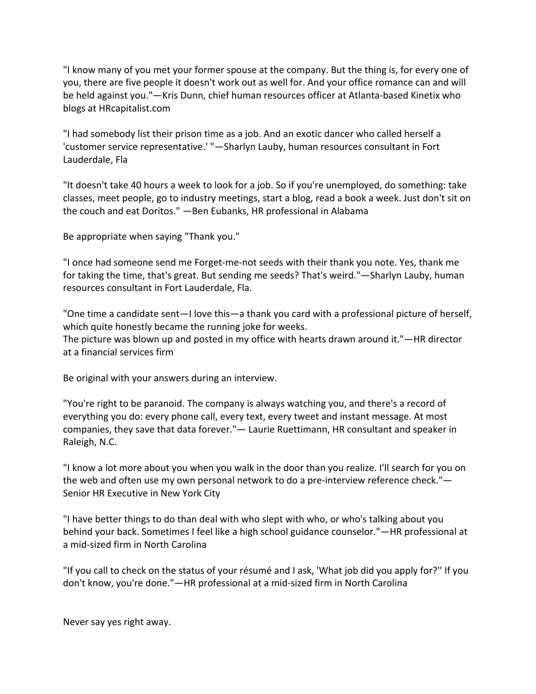"I know many of you met your former spouse at the company. But the thing is, for every one of you, there are five people it doesn't work out as well for. And your office romance can and will be held against you."—Kris Dunn, chief human resources officer at Atlanta-based Kinetix who blogs at HRcapitalist.com

"I had somebody list their prison time as a job. And an exotic dancer who called herself a 'customer service representative.' "-Sharlyn Lauby, human resources consultant in Fort Lauderdale, Fla

"It doesn't take 40 hours a week to look for a job. So if you're unemployed, do something: take classes, meet people, go to industry meetings, start a blog, read a book a week. Just don't sit on the couch and eat Doritos."  $-$  Ben Eubanks, HR professional in Alabama

Be appropriate when saying "Thank you."

"I once had someone send me Forget-me-not seeds with their thank you note. Yes, thank me for taking the time, that's great. But sending me seeds? That's weird."—Sharlyn Lauby, human resources consultant in Fort Lauderdale, Fla.

"One time a candidate sent—I love this—a thank you card with a professional picture of herself, which quite honestly became the running joke for weeks. The picture was blown up and posted in my office with hearts drawn around it."—HR director at a financial services firm

Be original with your answers during an interview.

"You're right to be paranoid. The company is always watching you, and there's a record of everything you do: every phone call, every text, every tweet and instant message. At most companies, they save that data forever."— Laurie Ruettimann, HR consultant and speaker in Raleigh, N.C.

"I know a lot more about you when you walk in the door than you realize. I'll search for you on the web and often use my own personal network to do a pre-interview reference check." $-$ Senior HR Executive in New York City

"I have better things to do than deal with who slept with who, or who's talking about you behind your back. Sometimes I feel like a high school guidance counselor."—HR professional at a mid-sized firm in North Carolina

"If you call to check on the status of your résumé and I ask, 'What job did you apply for?" If you don't know, you're done."—HR professional at a mid-sized firm in North Carolina

Never say yes right away.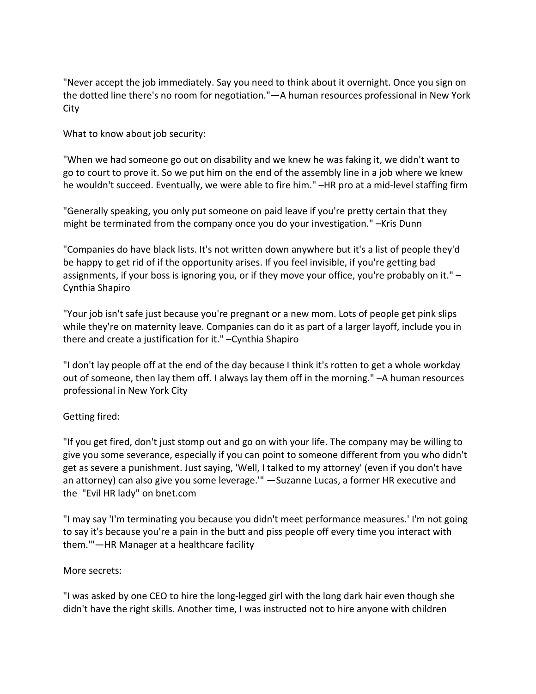"Never accept the job immediately. Say you need to think about it overnight. Once you sign on the dotted line there's no room for negotiation."—A human resources professional in New York City

What to know about job security:

"When we had someone go out on disability and we knew he was faking it, we didn't want to go to court to prove it. So we put him on the end of the assembly line in a job where we knew he wouldn't succeed. Eventually, we were able to fire him."  $-HR$  pro at a mid-level staffing firm

"Generally speaking, you only put someone on paid leave if you're pretty certain that they might be terminated from the company once you do your investigation." -Kris Dunn

"Companies do have black lists. It's not written down anywhere but it's a list of people they'd be happy to get rid of if the opportunity arises. If you feel invisible, if you're getting bad assignments, if your boss is ignoring you, or if they move your office, you're probably on it."  $-$ Cynthia Shapiro

"Your job isn't safe just because you're pregnant or a new mom. Lots of people get pink slips while they're on maternity leave. Companies can do it as part of a larger layoff, include you in there and create a justification for it." –Cynthia Shapiro

"I don't lay people off at the end of the day because I think it's rotten to get a whole workday out of someone, then lay them off. I always lay them off in the morning."  $-A$  human resources professional in New York City

## Getting fired:

"If you get fired, don't just stomp out and go on with your life. The company may be willing to give you some severance, especially if you can point to someone different from you who didn't get as severe a punishment. Just saying, 'Well, I talked to my attorney' (even if you don't have an attorney) can also give you some leverage."" -Suzanne Lucas, a former HR executive and the "Evil HR lady" on bnet.com

"I may say 'I'm terminating you because you didn't meet performance measures.' I'm not going to say it's because you're a pain in the butt and piss people off every time you interact with them."'-HR Manager at a healthcare facility

### More secrets:

"I was asked by one CEO to hire the long-legged girl with the long dark hair even though she didn't have the right skills. Another time, I was instructed not to hire anyone with children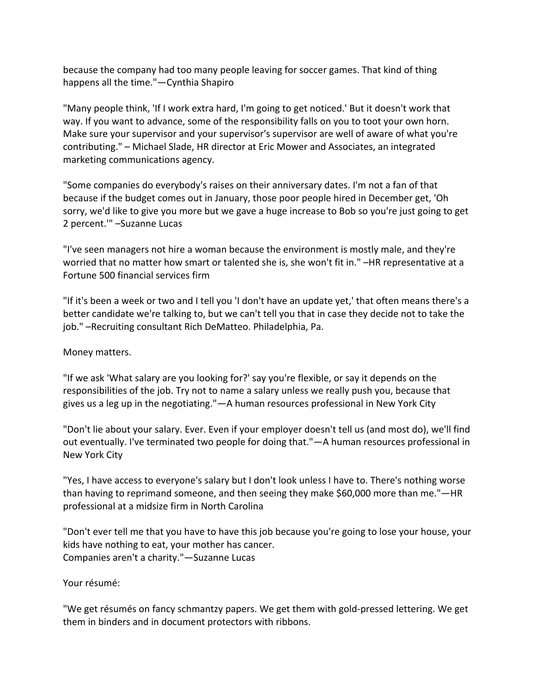because the company had too many people leaving for soccer games. That kind of thing happens all the time."—Cynthia Shapiro

"Many people think, 'If I work extra hard, I'm going to get noticed.' But it doesn't work that way. If you want to advance, some of the responsibility falls on you to toot your own horn. Make sure your supervisor and your supervisor's supervisor are well of aware of what you're contributing." – Michael Slade, HR director at Eric Mower and Associates, an integrated marketing communications agency.

"Some companies do everybody's raises on their anniversary dates. I'm not a fan of that because if the budget comes out in January, those poor people hired in December get, 'Oh sorry, we'd like to give you more but we gave a huge increase to Bob so you're just going to get 2 percent."" - Suzanne Lucas

"I've seen managers not hire a woman because the environment is mostly male, and they're worried that no matter how smart or talented she is, she won't fit in." -HR representative at a Fortune 500 financial services firm

"If it's been a week or two and I tell you 'I don't have an update yet,' that often means there's a better candidate we're talking to, but we can't tell you that in case they decide not to take the job." -Recruiting consultant Rich DeMatteo. Philadelphia, Pa.

Money matters.

"If we ask 'What salary are you looking for?' say you're flexible, or say it depends on the responsibilities of the job. Try not to name a salary unless we really push you, because that gives us a leg up in the negotiating."—A human resources professional in New York City

"Don't lie about your salary. Ever. Even if your employer doesn't tell us (and most do), we'll find out eventually. I've terminated two people for doing that."—A human resources professional in New York City

"Yes, I have access to everyone's salary but I don't look unless I have to. There's nothing worse than having to reprimand someone, and then seeing they make \$60,000 more than me."—HR professional at a midsize firm in North Carolina

"Don't ever tell me that you have to have this job because you're going to lose your house, your kids have nothing to eat, your mother has cancer. Companies aren't a charity."-Suzanne Lucas

Your résumé:

"We get résumés on fancy schmantzy papers. We get them with gold-pressed lettering. We get them in binders and in document protectors with ribbons.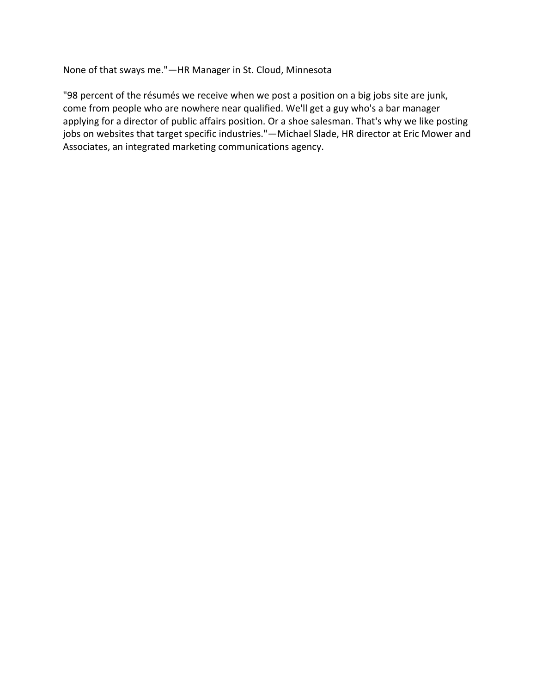None of that sways me."—HR Manager in St. Cloud, Minnesota

"98 percent of the résumés we receive when we post a position on a big jobs site are junk, come from people who are nowhere near qualified. We'll get a guy who's a bar manager applying for a director of public affairs position. Or a shoe salesman. That's why we like posting jobs on websites that target specific industries."—Michael Slade, HR director at Eric Mower and Associates, an integrated marketing communications agency.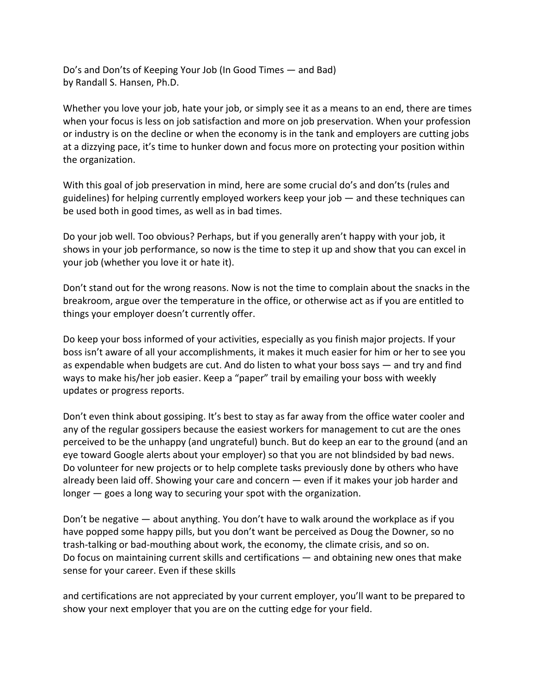Do's and Don'ts of Keeping Your Job (In Good Times — and Bad) by Randall S. Hansen, Ph.D.

Whether you love your job, hate your job, or simply see it as a means to an end, there are times when your focus is less on job satisfaction and more on job preservation. When your profession or industry is on the decline or when the economy is in the tank and employers are cutting jobs at a dizzying pace, it's time to hunker down and focus more on protecting your position within the organization.

With this goal of job preservation in mind, here are some crucial do's and don'ts (rules and guidelines) for helping currently employed workers keep your job  $-$  and these techniques can be used both in good times, as well as in bad times.

Do your job well. Too obvious? Perhaps, but if you generally aren't happy with your job, it shows in your job performance, so now is the time to step it up and show that you can excel in your job (whether you love it or hate it).

Don't stand out for the wrong reasons. Now is not the time to complain about the snacks in the breakroom, argue over the temperature in the office, or otherwise act as if you are entitled to things your employer doesn't currently offer.

Do keep your boss informed of your activities, especially as you finish major projects. If your boss isn't aware of all your accomplishments, it makes it much easier for him or her to see you as expendable when budgets are cut. And do listen to what your boss says  $-$  and try and find ways to make his/her job easier. Keep a "paper" trail by emailing your boss with weekly updates or progress reports.

Don't even think about gossiping. It's best to stay as far away from the office water cooler and any of the regular gossipers because the easiest workers for management to cut are the ones perceived to be the unhappy (and ungrateful) bunch. But do keep an ear to the ground (and an eye toward Google alerts about your employer) so that you are not blindsided by bad news. Do volunteer for new projects or to help complete tasks previously done by others who have already been laid off. Showing your care and concern  $-$  even if it makes your job harder and longer  $-$  goes a long way to securing your spot with the organization.

Don't be negative — about anything. You don't have to walk around the workplace as if you have popped some happy pills, but you don't want be perceived as Doug the Downer, so no trash-talking or bad-mouthing about work, the economy, the climate crisis, and so on. Do focus on maintaining current skills and certifications  $-$  and obtaining new ones that make sense for your career. Even if these skills

and certifications are not appreciated by your current employer, you'll want to be prepared to show your next employer that you are on the cutting edge for your field.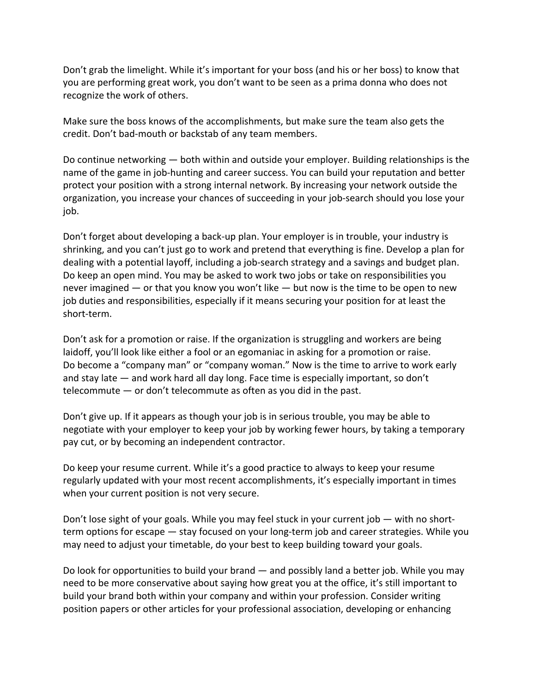Don't grab the limelight. While it's important for your boss (and his or her boss) to know that you are performing great work, you don't want to be seen as a prima donna who does not recognize the work of others.

Make sure the boss knows of the accomplishments, but make sure the team also gets the credit. Don't bad-mouth or backstab of any team members.

Do continue networking  $-$  both within and outside your employer. Building relationships is the name of the game in job-hunting and career success. You can build your reputation and better protect your position with a strong internal network. By increasing your network outside the organization, you increase your chances of succeeding in your job-search should you lose your job.

Don't forget about developing a back-up plan. Your employer is in trouble, your industry is shrinking, and you can't just go to work and pretend that everything is fine. Develop a plan for dealing with a potential layoff, including a job-search strategy and a savings and budget plan. Do keep an open mind. You may be asked to work two jobs or take on responsibilities you never imagined — or that you know you won't like — but now is the time to be open to new job duties and responsibilities, especially if it means securing your position for at least the short-term.

Don't ask for a promotion or raise. If the organization is struggling and workers are being laidoff, you'll look like either a fool or an egomaniac in asking for a promotion or raise. Do become a "company man" or "company woman." Now is the time to arrive to work early and stay late  $-$  and work hard all day long. Face time is especially important, so don't telecommute  $-$  or don't telecommute as often as you did in the past.

Don't give up. If it appears as though your job is in serious trouble, you may be able to negotiate with your employer to keep your job by working fewer hours, by taking a temporary pay cut, or by becoming an independent contractor.

Do keep your resume current. While it's a good practice to always to keep your resume regularly updated with your most recent accomplishments, it's especially important in times when your current position is not very secure.

Don't lose sight of your goals. While you may feel stuck in your current job — with no shortterm options for escape — stay focused on your long-term job and career strategies. While you may need to adjust your timetable, do your best to keep building toward your goals.

Do look for opportunities to build your brand  $-$  and possibly land a better job. While you may need to be more conservative about saying how great you at the office, it's still important to build your brand both within your company and within your profession. Consider writing position papers or other articles for your professional association, developing or enhancing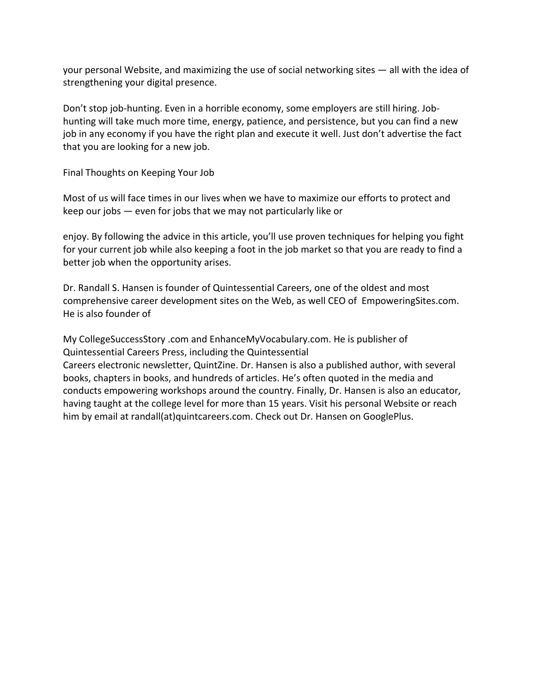your personal Website, and maximizing the use of social networking sites  $-$  all with the idea of strengthening your digital presence.

Don't stop job-hunting. Even in a horrible economy, some employers are still hiring. Jobhunting will take much more time, energy, patience, and persistence, but you can find a new job in any economy if you have the right plan and execute it well. Just don't advertise the fact that you are looking for a new job.

Final Thoughts on Keeping Your Job

Most of us will face times in our lives when we have to maximize our efforts to protect and keep our jobs  $-$  even for jobs that we may not particularly like or

enjoy. By following the advice in this article, you'll use proven techniques for helping you fight for your current job while also keeping a foot in the job market so that you are ready to find a better job when the opportunity arises.

Dr. Randall S. Hansen is founder of Quintessential Careers, one of the oldest and most comprehensive career development sites on the Web, as well CEO of EmpoweringSites.com. He is also founder of

My CollegeSuccessStory .com and EnhanceMyVocabulary.com. He is publisher of Quintessential Careers Press, including the Quintessential Careers electronic newsletter, QuintZine. Dr. Hansen is also a published author, with several books, chapters in books, and hundreds of articles. He's often quoted in the media and conducts empowering workshops around the country. Finally, Dr. Hansen is also an educator, having taught at the college level for more than 15 years. Visit his personal Website or reach him by email at randall(at)quintcareers.com. Check out Dr. Hansen on GooglePlus.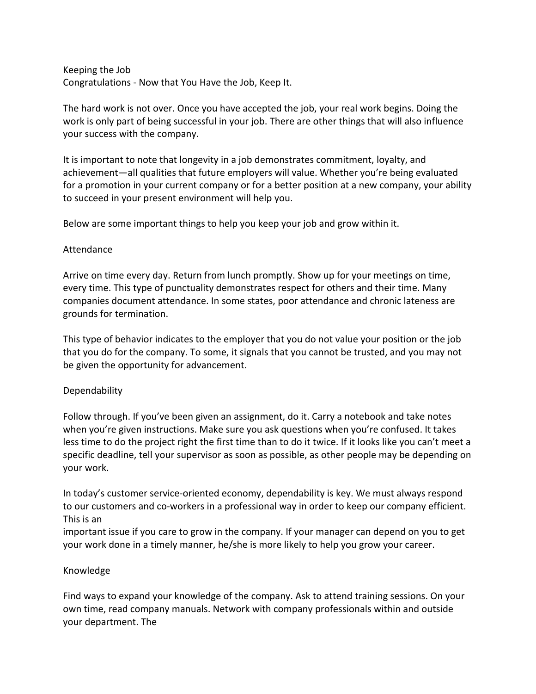# Keeping the Job Congratulations - Now that You Have the Job, Keep It.

The hard work is not over. Once you have accepted the job, your real work begins. Doing the work is only part of being successful in your job. There are other things that will also influence your success with the company.

It is important to note that longevity in a job demonstrates commitment, loyalty, and achievement—all qualities that future employers will value. Whether you're being evaluated for a promotion in your current company or for a better position at a new company, your ability to succeed in your present environment will help you.

Below are some important things to help you keep your job and grow within it.

### Attendance

Arrive on time every day. Return from lunch promptly. Show up for your meetings on time, every time. This type of punctuality demonstrates respect for others and their time. Many companies document attendance. In some states, poor attendance and chronic lateness are grounds for termination.

This type of behavior indicates to the employer that you do not value your position or the job that you do for the company. To some, it signals that you cannot be trusted, and you may not be given the opportunity for advancement.

## Dependability

Follow through. If you've been given an assignment, do it. Carry a notebook and take notes when you're given instructions. Make sure you ask questions when you're confused. It takes less time to do the project right the first time than to do it twice. If it looks like you can't meet a specific deadline, tell your supervisor as soon as possible, as other people may be depending on your work.

In today's customer service-oriented economy, dependability is key. We must always respond to our customers and co-workers in a professional way in order to keep our company efficient. This is an

important issue if you care to grow in the company. If your manager can depend on you to get your work done in a timely manner, he/she is more likely to help you grow your career.

## Knowledge

Find ways to expand your knowledge of the company. Ask to attend training sessions. On your own time, read company manuals. Network with company professionals within and outside your department. The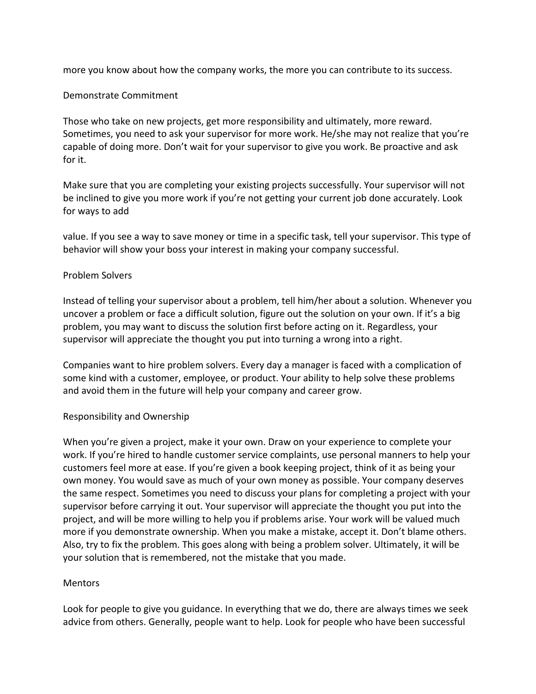more you know about how the company works, the more you can contribute to its success.

### Demonstrate Commitment

Those who take on new projects, get more responsibility and ultimately, more reward. Sometimes, you need to ask your supervisor for more work. He/she may not realize that you're capable of doing more. Don't wait for your supervisor to give you work. Be proactive and ask for it.

Make sure that you are completing your existing projects successfully. Your supervisor will not be inclined to give you more work if you're not getting your current job done accurately. Look for ways to add

value. If you see a way to save money or time in a specific task, tell your supervisor. This type of behavior will show your boss your interest in making your company successful.

### Problem Solvers

Instead of telling your supervisor about a problem, tell him/her about a solution. Whenever you uncover a problem or face a difficult solution, figure out the solution on your own. If it's a big problem, you may want to discuss the solution first before acting on it. Regardless, your supervisor will appreciate the thought you put into turning a wrong into a right.

Companies want to hire problem solvers. Every day a manager is faced with a complication of some kind with a customer, employee, or product. Your ability to help solve these problems and avoid them in the future will help your company and career grow.

## Responsibility and Ownership

When you're given a project, make it your own. Draw on your experience to complete your work. If you're hired to handle customer service complaints, use personal manners to help your customers feel more at ease. If you're given a book keeping project, think of it as being your own money. You would save as much of your own money as possible. Your company deserves the same respect. Sometimes you need to discuss your plans for completing a project with your supervisor before carrying it out. Your supervisor will appreciate the thought you put into the project, and will be more willing to help you if problems arise. Your work will be valued much more if you demonstrate ownership. When you make a mistake, accept it. Don't blame others. Also, try to fix the problem. This goes along with being a problem solver. Ultimately, it will be your solution that is remembered, not the mistake that you made.

### **Mentors**

Look for people to give you guidance. In everything that we do, there are always times we seek advice from others. Generally, people want to help. Look for people who have been successful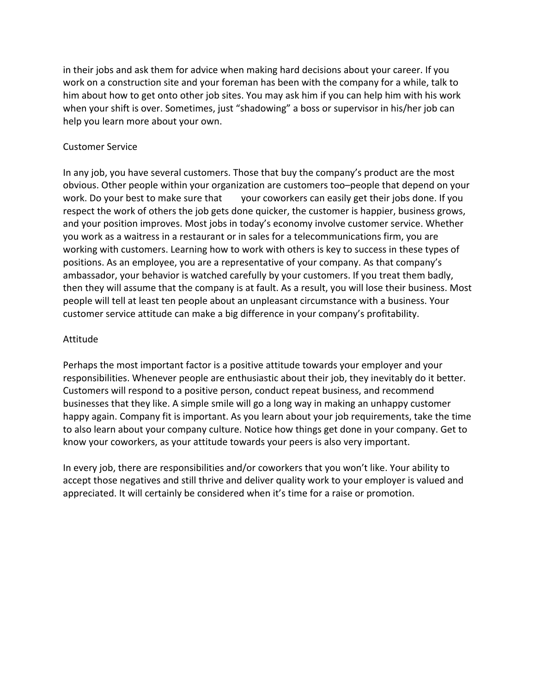in their jobs and ask them for advice when making hard decisions about your career. If you work on a construction site and your foreman has been with the company for a while, talk to him about how to get onto other job sites. You may ask him if you can help him with his work when your shift is over. Sometimes, just "shadowing" a boss or supervisor in his/her job can help you learn more about your own.

### Customer Service

In any job, you have several customers. Those that buy the company's product are the most obvious. Other people within your organization are customers too–people that depend on your work. Do your best to make sure that your coworkers can easily get their jobs done. If you respect the work of others the job gets done quicker, the customer is happier, business grows, and your position improves. Most jobs in today's economy involve customer service. Whether you work as a waitress in a restaurant or in sales for a telecommunications firm, you are working with customers. Learning how to work with others is key to success in these types of positions. As an employee, you are a representative of your company. As that company's ambassador, your behavior is watched carefully by your customers. If you treat them badly, then they will assume that the company is at fault. As a result, you will lose their business. Most people will tell at least ten people about an unpleasant circumstance with a business. Your customer service attitude can make a big difference in your company's profitability.

### Attitude

Perhaps the most important factor is a positive attitude towards your employer and your responsibilities. Whenever people are enthusiastic about their job, they inevitably do it better. Customers will respond to a positive person, conduct repeat business, and recommend businesses that they like. A simple smile will go a long way in making an unhappy customer happy again. Company fit is important. As you learn about your job requirements, take the time to also learn about your company culture. Notice how things get done in your company. Get to know your coworkers, as your attitude towards your peers is also very important.

In every job, there are responsibilities and/or coworkers that you won't like. Your ability to accept those negatives and still thrive and deliver quality work to your employer is valued and appreciated. It will certainly be considered when it's time for a raise or promotion.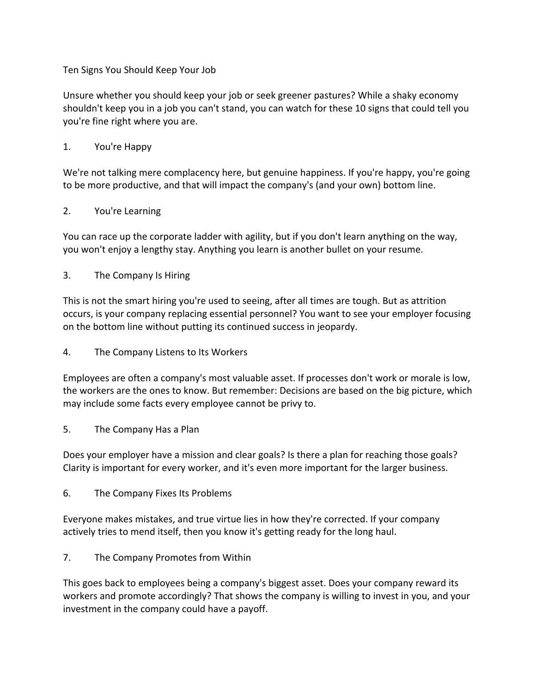Ten Signs You Should Keep Your Job

Unsure whether you should keep your job or seek greener pastures? While a shaky economy shouldn't keep you in a job you can't stand, you can watch for these 10 signs that could tell you you're fine right where you are.

# 1. You're Happy

We're not talking mere complacency here, but genuine happiness. If you're happy, you're going to be more productive, and that will impact the company's (and your own) bottom line.

## 2. You're Learning

You can race up the corporate ladder with agility, but if you don't learn anything on the way, you won't enjoy a lengthy stay. Anything you learn is another bullet on your resume.

3. The Company Is Hiring

This is not the smart hiring you're used to seeing, after all times are tough. But as attrition occurs, is your company replacing essential personnel? You want to see your employer focusing on the bottom line without putting its continued success in jeopardy.

4. The Company Listens to Its Workers

Employees are often a company's most valuable asset. If processes don't work or morale is low, the workers are the ones to know. But remember: Decisions are based on the big picture, which may include some facts every employee cannot be privy to.

5. The Company Has a Plan

Does your employer have a mission and clear goals? Is there a plan for reaching those goals? Clarity is important for every worker, and it's even more important for the larger business.

6. The Company Fixes Its Problems

Everyone makes mistakes, and true virtue lies in how they're corrected. If your company actively tries to mend itself, then you know it's getting ready for the long haul.

7. The Company Promotes from Within

This goes back to employees being a company's biggest asset. Does your company reward its workers and promote accordingly? That shows the company is willing to invest in you, and your investment in the company could have a payoff.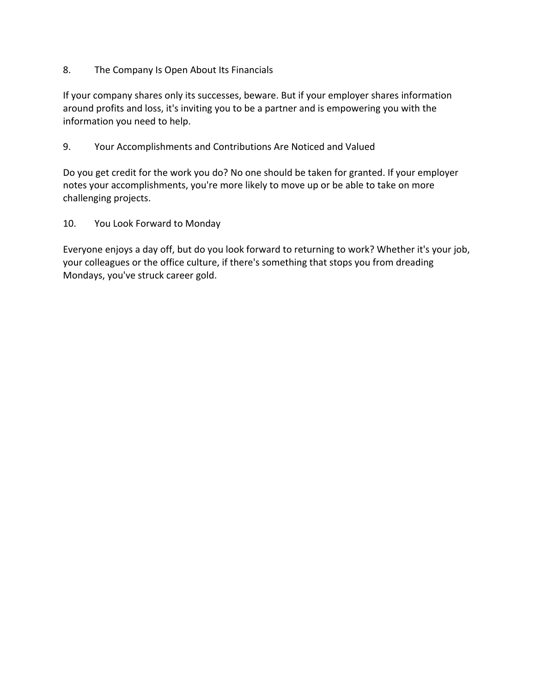8. The Company Is Open About Its Financials

If your company shares only its successes, beware. But if your employer shares information around profits and loss, it's inviting you to be a partner and is empowering you with the information you need to help.

9. Your Accomplishments and Contributions Are Noticed and Valued

Do you get credit for the work you do? No one should be taken for granted. If your employer notes your accomplishments, you're more likely to move up or be able to take on more challenging projects.

10. You Look Forward to Monday

Everyone enjoys a day off, but do you look forward to returning to work? Whether it's your job, your colleagues or the office culture, if there's something that stops you from dreading Mondays, you've struck career gold.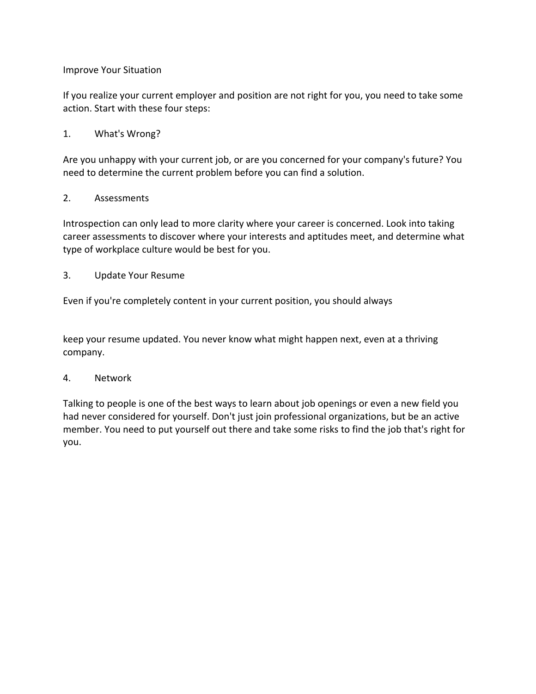Improve Your Situation

If you realize your current employer and position are not right for you, you need to take some action. Start with these four steps:

### 1. What's Wrong?

Are you unhappy with your current job, or are you concerned for your company's future? You need to determine the current problem before you can find a solution.

### 2. Assessments

Introspection can only lead to more clarity where your career is concerned. Look into taking career assessments to discover where your interests and aptitudes meet, and determine what type of workplace culture would be best for you.

3. Update Your Resume

Even if you're completely content in your current position, you should always

keep your resume updated. You never know what might happen next, even at a thriving company.

## 4. Network

Talking to people is one of the best ways to learn about job openings or even a new field you had never considered for yourself. Don't just join professional organizations, but be an active member. You need to put yourself out there and take some risks to find the job that's right for you.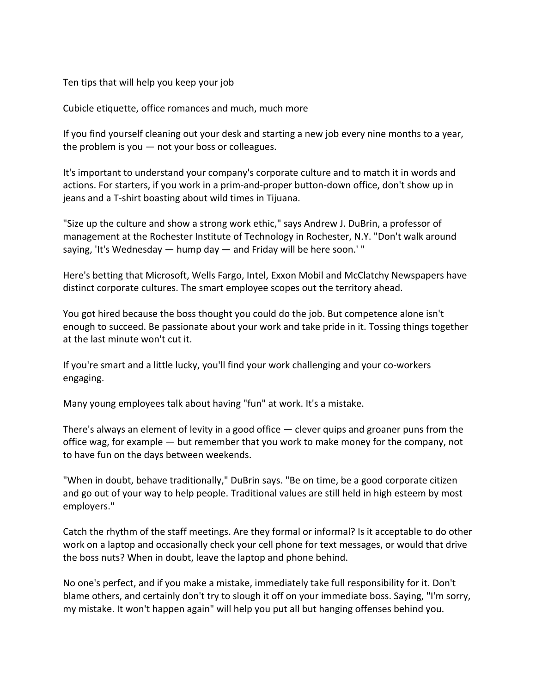Ten tips that will help you keep your job

Cubicle etiquette, office romances and much, much more

If you find yourself cleaning out your desk and starting a new job every nine months to a year, the problem is you  $-$  not your boss or colleagues.

It's important to understand your company's corporate culture and to match it in words and actions. For starters, if you work in a prim-and-proper button-down office, don't show up in jeans and a T-shirt boasting about wild times in Tijuana.

"Size up the culture and show a strong work ethic," says Andrew J. DuBrin, a professor of management at the Rochester Institute of Technology in Rochester, N.Y. "Don't walk around saying, 'It's Wednesday  $-$  hump day  $-$  and Friday will be here soon.'"

Here's betting that Microsoft, Wells Fargo, Intel, Exxon Mobil and McClatchy Newspapers have distinct corporate cultures. The smart employee scopes out the territory ahead.

You got hired because the boss thought you could do the job. But competence alone isn't enough to succeed. Be passionate about your work and take pride in it. Tossing things together at the last minute won't cut it.

If you're smart and a little lucky, you'll find your work challenging and your co-workers engaging.

Many young employees talk about having "fun" at work. It's a mistake.

There's always an element of levity in a good office  $-$  clever quips and groaner puns from the office wag, for example  $-$  but remember that you work to make money for the company, not to have fun on the days between weekends.

"When in doubt, behave traditionally," DuBrin says. "Be on time, be a good corporate citizen and go out of your way to help people. Traditional values are still held in high esteem by most employers."

Catch the rhythm of the staff meetings. Are they formal or informal? Is it acceptable to do other work on a laptop and occasionally check your cell phone for text messages, or would that drive the boss nuts? When in doubt, leave the laptop and phone behind.

No one's perfect, and if you make a mistake, immediately take full responsibility for it. Don't blame others, and certainly don't try to slough it off on your immediate boss. Saying, "I'm sorry, my mistake. It won't happen again" will help you put all but hanging offenses behind you.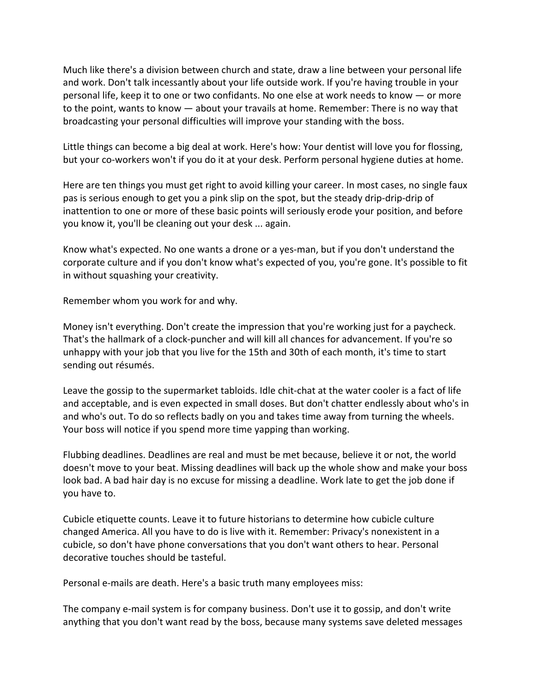Much like there's a division between church and state, draw a line between your personal life and work. Don't talk incessantly about your life outside work. If you're having trouble in your personal life, keep it to one or two confidants. No one else at work needs to know — or more to the point, wants to know  $-$  about your travails at home. Remember: There is no way that broadcasting your personal difficulties will improve your standing with the boss.

Little things can become a big deal at work. Here's how: Your dentist will love you for flossing, but your co-workers won't if you do it at your desk. Perform personal hygiene duties at home.

Here are ten things you must get right to avoid killing your career. In most cases, no single faux pas is serious enough to get you a pink slip on the spot, but the steady drip-drip-drip of inattention to one or more of these basic points will seriously erode your position, and before you know it, you'll be cleaning out your desk ... again.

Know what's expected. No one wants a drone or a yes-man, but if you don't understand the corporate culture and if you don't know what's expected of you, you're gone. It's possible to fit in without squashing your creativity.

Remember whom you work for and why.

Money isn't everything. Don't create the impression that you're working just for a paycheck. That's the hallmark of a clock-puncher and will kill all chances for advancement. If you're so unhappy with your job that you live for the 15th and 30th of each month, it's time to start sending out résumés.

Leave the gossip to the supermarket tabloids. Idle chit-chat at the water cooler is a fact of life and acceptable, and is even expected in small doses. But don't chatter endlessly about who's in and who's out. To do so reflects badly on you and takes time away from turning the wheels. Your boss will notice if you spend more time yapping than working.

Flubbing deadlines. Deadlines are real and must be met because, believe it or not, the world doesn't move to your beat. Missing deadlines will back up the whole show and make your boss look bad. A bad hair day is no excuse for missing a deadline. Work late to get the job done if you have to.

Cubicle etiquette counts. Leave it to future historians to determine how cubicle culture changed America. All you have to do is live with it. Remember: Privacy's nonexistent in a cubicle, so don't have phone conversations that you don't want others to hear. Personal decorative touches should be tasteful.

Personal e-mails are death. Here's a basic truth many employees miss:

The company e-mail system is for company business. Don't use it to gossip, and don't write anything that you don't want read by the boss, because many systems save deleted messages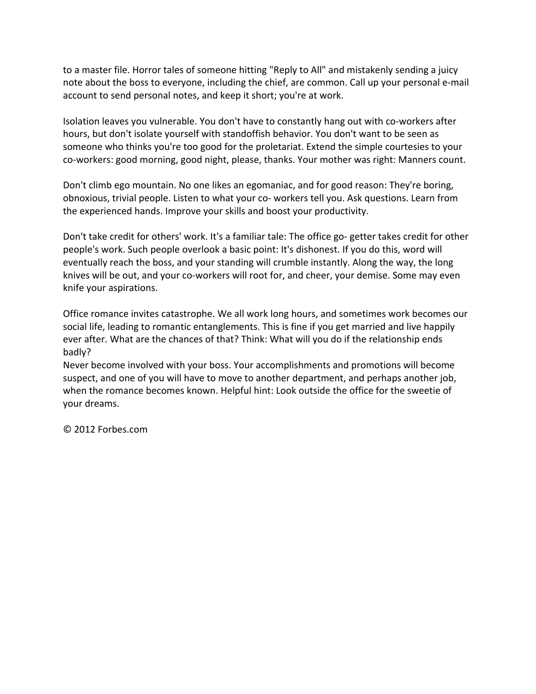to a master file. Horror tales of someone hitting "Reply to All" and mistakenly sending a juicy note about the boss to everyone, including the chief, are common. Call up your personal e-mail account to send personal notes, and keep it short; you're at work.

Isolation leaves you vulnerable. You don't have to constantly hang out with co-workers after hours, but don't isolate yourself with standoffish behavior. You don't want to be seen as someone who thinks you're too good for the proletariat. Extend the simple courtesies to your co-workers: good morning, good night, please, thanks. Your mother was right: Manners count.

Don't climb ego mountain. No one likes an egomaniac, and for good reason: They're boring, obnoxious, trivial people. Listen to what your co- workers tell you. Ask questions. Learn from the experienced hands. Improve your skills and boost your productivity.

Don't take credit for others' work. It's a familiar tale: The office go- getter takes credit for other people's work. Such people overlook a basic point: It's dishonest. If you do this, word will eventually reach the boss, and your standing will crumble instantly. Along the way, the long knives will be out, and your co-workers will root for, and cheer, your demise. Some may even knife your aspirations.

Office romance invites catastrophe. We all work long hours, and sometimes work becomes our social life, leading to romantic entanglements. This is fine if you get married and live happily ever after. What are the chances of that? Think: What will you do if the relationship ends badly?

Never become involved with your boss. Your accomplishments and promotions will become suspect, and one of you will have to move to another department, and perhaps another job, when the romance becomes known. Helpful hint: Look outside the office for the sweetie of your dreams.

© 2012 Forbes.com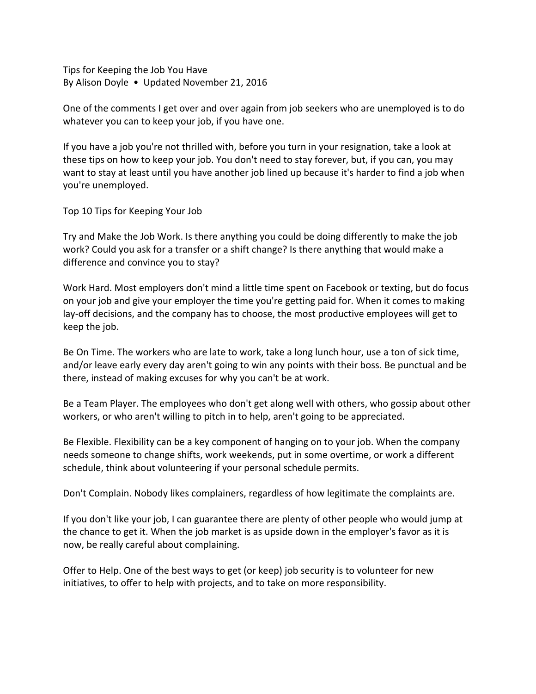Tips for Keeping the Job You Have By Alison Doyle . Updated November 21, 2016

One of the comments I get over and over again from job seekers who are unemployed is to do whatever you can to keep your job, if you have one.

If you have a job you're not thrilled with, before you turn in your resignation, take a look at these tips on how to keep your job. You don't need to stay forever, but, if you can, you may want to stay at least until you have another job lined up because it's harder to find a job when you're unemployed.

Top 10 Tips for Keeping Your Job

Try and Make the Job Work. Is there anything you could be doing differently to make the job work? Could you ask for a transfer or a shift change? Is there anything that would make a difference and convince you to stay?

Work Hard. Most employers don't mind a little time spent on Facebook or texting, but do focus on your job and give your employer the time you're getting paid for. When it comes to making lay-off decisions, and the company has to choose, the most productive employees will get to keep the job.

Be On Time. The workers who are late to work, take a long lunch hour, use a ton of sick time, and/or leave early every day aren't going to win any points with their boss. Be punctual and be there, instead of making excuses for why you can't be at work.

Be a Team Player. The employees who don't get along well with others, who gossip about other workers, or who aren't willing to pitch in to help, aren't going to be appreciated.

Be Flexible. Flexibility can be a key component of hanging on to your job. When the company needs someone to change shifts, work weekends, put in some overtime, or work a different schedule, think about volunteering if your personal schedule permits.

Don't Complain. Nobody likes complainers, regardless of how legitimate the complaints are.

If you don't like your job, I can guarantee there are plenty of other people who would jump at the chance to get it. When the job market is as upside down in the employer's favor as it is now, be really careful about complaining.

Offer to Help. One of the best ways to get (or keep) job security is to volunteer for new initiatives, to offer to help with projects, and to take on more responsibility.